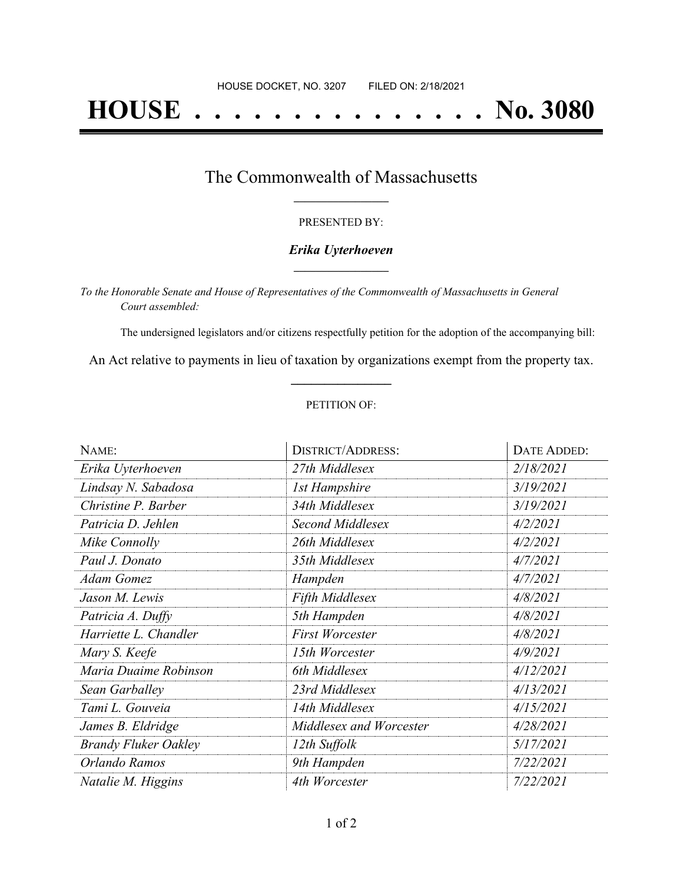# **HOUSE . . . . . . . . . . . . . . . No. 3080**

### The Commonwealth of Massachusetts **\_\_\_\_\_\_\_\_\_\_\_\_\_\_\_\_\_**

#### PRESENTED BY:

#### *Erika Uyterhoeven* **\_\_\_\_\_\_\_\_\_\_\_\_\_\_\_\_\_**

*To the Honorable Senate and House of Representatives of the Commonwealth of Massachusetts in General Court assembled:*

The undersigned legislators and/or citizens respectfully petition for the adoption of the accompanying bill:

An Act relative to payments in lieu of taxation by organizations exempt from the property tax. **\_\_\_\_\_\_\_\_\_\_\_\_\_\_\_**

#### PETITION OF:

| NAME:                       | <b>DISTRICT/ADDRESS:</b> | DATE ADDED: |
|-----------------------------|--------------------------|-------------|
| Erika Uyterhoeven           | 27th Middlesex           | 2/18/2021   |
| Lindsay N. Sabadosa         | <b>1st Hampshire</b>     | 3/19/2021   |
| Christine P. Barber         | 34th Middlesex           | 3/19/2021   |
| Patricia D. Jehlen          | Second Middlesex         | 4/2/2021    |
| Mike Connolly               | 26th Middlesex           | 4/2/2021    |
| Paul J. Donato              | 35th Middlesex           | 4/7/2021    |
| <b>Adam Gomez</b>           | Hampden                  | 4/7/2021    |
| Jason M. Lewis              | Fifth Middlesex          | 4/8/2021    |
| Patricia A. Duffy           | 5th Hampden              | 4/8/2021    |
| Harriette L. Chandler       | <b>First Worcester</b>   | 4/8/2021    |
| Mary S. Keefe               | 15th Worcester           | 4/9/2021    |
| Maria Duaime Robinson       | 6th Middlesex            | 4/12/2021   |
| Sean Garballey              | 23rd Middlesex           | 4/13/2021   |
| Tami L. Gouveia             | 14th Middlesex           | 4/15/2021   |
| James B. Eldridge           | Middlesex and Worcester  | 4/28/2021   |
| <b>Brandy Fluker Oakley</b> | 12th Suffolk             | 5/17/2021   |
| Orlando Ramos               | 9th Hampden              | 7/22/2021   |
| Natalie M. Higgins          | 4th Worcester            | 7/22/2021   |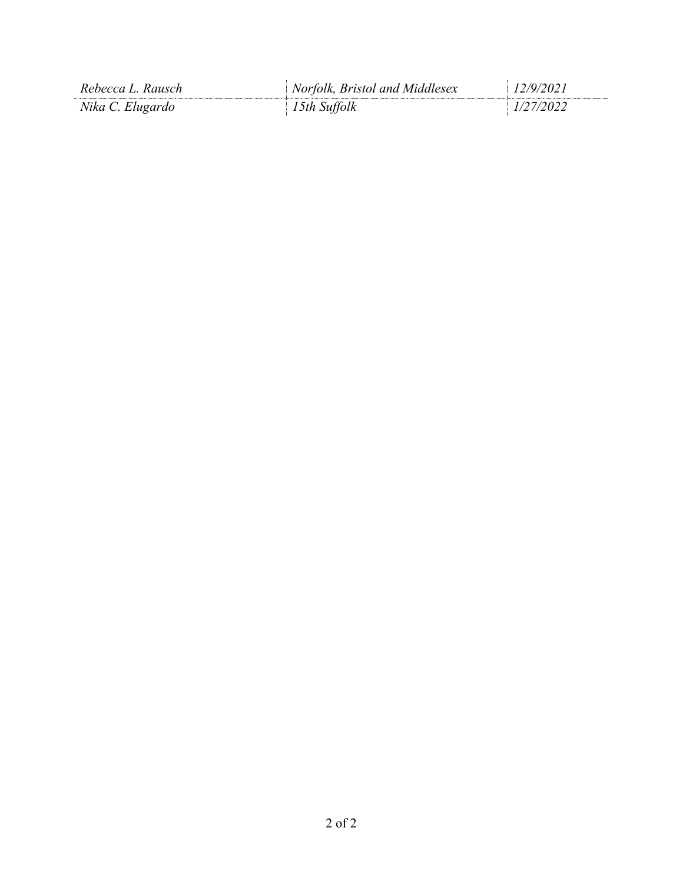| Rebecca L. Rausch | Norfolk, Bristol and Middlesex | 7977071 |
|-------------------|--------------------------------|---------|
| Nika C. Elugardo  | Suttolk<br>5th.                |         |